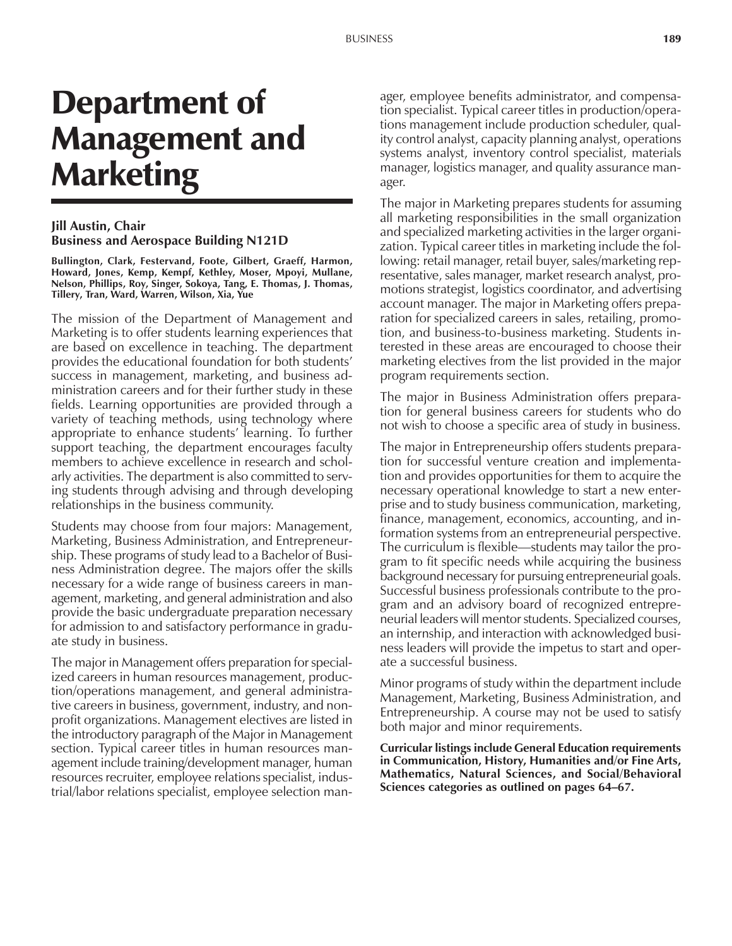# Department of Management and Marketing

#### **Jill Austin, Chair Business and Aerospace Building N121D**

**Bullington, Clark, Festervand, Foote, Gilbert, Graeff, Harmon, Howard, Jones, Kemp, Kempf, Kethley, Moser, Mpoyi, Mullane, Nelson, Phillips, Roy, Singer, Sokoya, Tang, E. Thomas, J. Thomas, Tillery, Tran, Ward, Warren, Wilson, Xia, Yue**

The mission of the Department of Management and Marketing is to offer students learning experiences that are based on excellence in teaching. The department provides the educational foundation for both students' success in management, marketing, and business administration careers and for their further study in these fields. Learning opportunities are provided through a variety of teaching methods, using technology where appropriate to enhance students' learning. To further support teaching, the department encourages faculty members to achieve excellence in research and scholarly activities. The department is also committed to serving students through advising and through developing relationships in the business community.

Students may choose from four majors: Management, Marketing, Business Administration, and Entrepreneurship. These programs of study lead to a Bachelor of Business Administration degree. The majors offer the skills necessary for a wide range of business careers in management, marketing, and general administration and also provide the basic undergraduate preparation necessary for admission to and satisfactory performance in graduate study in business.

The major in Management offers preparation for specialized careers in human resources management, production/operations management, and general administrative careers in business, government, industry, and nonprofit organizations. Management electives are listed in the introductory paragraph of the Major in Management section. Typical career titles in human resources management include training/development manager, human resources recruiter, employee relations specialist, industrial/labor relations specialist, employee selection man-

ager, employee benefits administrator, and compensation specialist. Typical career titles in production/operations management include production scheduler, quality control analyst, capacity planning analyst, operations systems analyst, inventory control specialist, materials manager, logistics manager, and quality assurance manager.

The major in Marketing prepares students for assuming all marketing responsibilities in the small organization and specialized marketing activities in the larger organization. Typical career titles in marketing include the following: retail manager, retail buyer, sales/marketing representative, sales manager, market research analyst, promotions strategist, logistics coordinator, and advertising account manager. The major in Marketing offers preparation for specialized careers in sales, retailing, promotion, and business-to-business marketing. Students interested in these areas are encouraged to choose their marketing electives from the list provided in the major program requirements section.

The major in Business Administration offers preparation for general business careers for students who do not wish to choose a specific area of study in business.

The major in Entrepreneurship offers students preparation for successful venture creation and implementation and provides opportunities for them to acquire the necessary operational knowledge to start a new enterprise and to study business communication, marketing, finance, management, economics, accounting, and information systems from an entrepreneurial perspective. The curriculum is flexible—students may tailor the program to fit specific needs while acquiring the business background necessary for pursuing entrepreneurial goals. Successful business professionals contribute to the program and an advisory board of recognized entrepreneurial leaders will mentor students. Specialized courses, an internship, and interaction with acknowledged business leaders will provide the impetus to start and operate a successful business.

Minor programs of study within the department include Management, Marketing, Business Administration, and Entrepreneurship. A course may not be used to satisfy both major and minor requirements.

**Curricular listings include General Education requirements in Communication, History, Humanities and/or Fine Arts, Mathematics, Natural Sciences, and Social/Behavioral Sciences categories as outlined on pages 64–67.**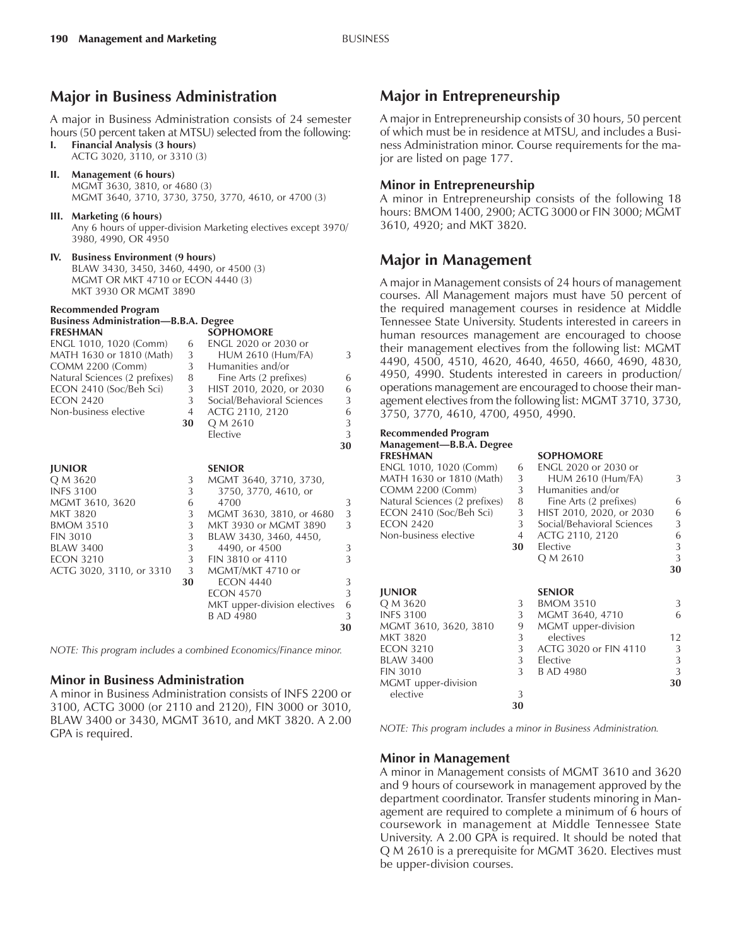## **Major in Business Administration**

A major in Business Administration consists of 24 semester hours (50 percent taken at MTSU) selected from the following:

**I. Financial Analysis (3 hours)**

ACTG 3020, 3110, or 3310 (3)

- **II. Management (6 hours)** MGMT 3630, 3810, or 4680 (3) MGMT 3640, 3710, 3730, 3750, 3770, 4610, or 4700 (3)
- **III. Marketing (6 hours)** Any 6 hours of upper-division Marketing electives except 3970/ 3980, 4990, OR 4950
- **IV. Business Environment (9 hours)** BLAW 3430, 3450, 3460, 4490, or 4500 (3) MGMT OR MKT 4710 or ECON 4440 (3) MKT 3930 OR MGMT 3890

#### **Recommended Program**

#### **Business Administration—B.B.A. Degree FRESHMAN SOPHOMORE**

| ENGL 1010, 1020 (Comm)        | 6  | ENGL 2020 or 2030 or         |    |
|-------------------------------|----|------------------------------|----|
| MATH 1630 or 1810 (Math)      | 3  | <b>HUM 2610 (Hum/FA)</b>     | 3  |
| COMM 2200 (Comm)              | 3  | Humanities and/or            |    |
| Natural Sciences (2 prefixes) | 8  | Fine Arts (2 prefixes)       | 6  |
| ECON 2410 (Soc/Beh Sci)       | 3  | HIST 2010, 2020, or 2030     | 6  |
| <b>ECON 2420</b>              | 3  | Social/Behavioral Sciences   | 3  |
| Non-business elective         | 4  | ACTG 2110, 2120              | 6  |
|                               | 30 | Q M 2610                     | 3  |
|                               |    | Elective                     | 3  |
|                               |    |                              | 30 |
|                               |    |                              |    |
| <b>JUNIOR</b>                 |    | <b>SENIOR</b>                |    |
| Q M 3620                      | 3  | MGMT 3640, 3710, 3730,       |    |
| <b>INFS 3100</b>              | 3  | 3750, 3770, 4610, or         |    |
| MGMT 3610, 3620               | 6  | 4700                         | 3  |
| MKT 3820                      | 3  | MGMT 3630, 3810, or 4680     | 3  |
| <b>BMOM 3510</b>              | 3  | MKT 3930 or MGMT 3890        | 3  |
| <b>FIN 3010</b>               | 3  | BLAW 3430, 3460, 4450,       |    |
| <b>BLAW 3400</b>              | 3  | 4490, or 4500                | 3  |
| <b>ECON 3210</b>              | 3  | FIN 3810 or 4110             | 3  |
| ACTG 3020, 3110, or 3310      | 3  | MGMT/MKT 4710 or             |    |
|                               | 30 | <b>ECON 4440</b>             | 3  |
|                               |    | <b>ECON 4570</b>             | 3  |
|                               |    | MKT upper-division electives | 6  |
|                               |    | <b>B AD 4980</b>             | 3  |
|                               |    |                              |    |

*NOTE: This program includes a combined Economics/Finance minor.*

#### **Minor in Business Administration**

A minor in Business Administration consists of INFS 2200 or 3100, ACTG 3000 (or 2110 and 2120), FIN 3000 or 3010, BLAW 3400 or 3430, MGMT 3610, and MKT 3820. A 2.00 GPA is required.

## **Major in Entrepreneurship**

A major in Entrepreneurship consists of 30 hours, 50 percent of which must be in residence at MTSU, and includes a Business Administration minor. Course requirements for the major are listed on page 177.

#### **Minor in Entrepreneurship**

A minor in Entrepreneurship consists of the following 18 hours: BMOM 1400, 2900; ACTG 3000 or FIN 3000; MGMT 3610, 4920; and MKT 3820.

## **Major in Management**

A major in Management consists of 24 hours of management courses. All Management majors must have 50 percent of the required management courses in residence at Middle Tennessee State University. Students interested in careers in human resources management are encouraged to choose their management electives from the following list: MGMT 4490, 4500, 4510, 4620, 4640, 4650, 4660, 4690, 4830, 4950, 4990. Students interested in careers in production/ operations management are encouraged to choose their management electives from the following list: MGMT 3710, 3730, 3750, 3770, 4610, 4700, 4950, 4990.

#### **Recommended Program Management-B.B.A. Degree FRESHMAN SOPHOMORE**

| ENGL 1010, 1020 (Comm)<br>MATH 1630 or 1810 (Math)<br><b>COMM 2200 (Comm)</b><br>Natural Sciences (2 prefixes)<br>ECON 2410 (Soc/Beh Sci)<br><b>ECON 2420</b><br>Non-business elective | 6<br>3<br>3<br>8<br>3<br>3<br>4<br>30 | <b>ENGL 2020 or 2030 or</b><br><b>HUM 2610 (Hum/FA)</b><br>Humanities and/or<br>Fine Arts (2 prefixes)<br>HIST 2010, 2020, or 2030<br>Social/Behavioral Sciences<br>ACTG 2110, 2120<br>Elective<br>Q M 2610 | 3<br>6<br>6<br>3<br>6<br>3<br>3 |
|----------------------------------------------------------------------------------------------------------------------------------------------------------------------------------------|---------------------------------------|-------------------------------------------------------------------------------------------------------------------------------------------------------------------------------------------------------------|---------------------------------|
|                                                                                                                                                                                        |                                       |                                                                                                                                                                                                             | 30                              |
| <b>JUNIOR</b>                                                                                                                                                                          |                                       | <b>SENIOR</b>                                                                                                                                                                                               |                                 |
| Q M 3620                                                                                                                                                                               | 3                                     | <b>BMOM 3510</b>                                                                                                                                                                                            | 3                               |
| <b>INFS 3100</b>                                                                                                                                                                       | 3                                     | MGMT 3640, 4710                                                                                                                                                                                             | 6                               |
| MGMT 3610, 3620, 3810                                                                                                                                                                  | 9                                     | MGMT upper-division                                                                                                                                                                                         |                                 |
| <b>MKT 3820</b>                                                                                                                                                                        | 3                                     | electives                                                                                                                                                                                                   | 12                              |
| <b>ECON 3210</b>                                                                                                                                                                       | 3                                     | ACTG 3020 or FIN 4110                                                                                                                                                                                       | 3                               |
| <b>BLAW 3400</b>                                                                                                                                                                       | 3 <sup>1</sup>                        | Elective                                                                                                                                                                                                    | 3                               |
| <b>FIN 3010</b>                                                                                                                                                                        | 3                                     | B AD 4980                                                                                                                                                                                                   | 3                               |
| MGMT upper-division                                                                                                                                                                    |                                       |                                                                                                                                                                                                             | 30                              |
| elective                                                                                                                                                                               | 3                                     |                                                                                                                                                                                                             |                                 |
|                                                                                                                                                                                        | 30                                    |                                                                                                                                                                                                             |                                 |

*NOTE: This program includes a minor in Business Administration.*

#### **Minor in Management**

**30**

A minor in Management consists of MGMT 3610 and 3620 and 9 hours of coursework in management approved by the department coordinator. Transfer students minoring in Management are required to complete a minimum of 6 hours of coursework in management at Middle Tennessee State University. A 2.00 GPA is required. It should be noted that Q M 2610 is a prerequisite for MGMT 3620. Electives must be upper-division courses.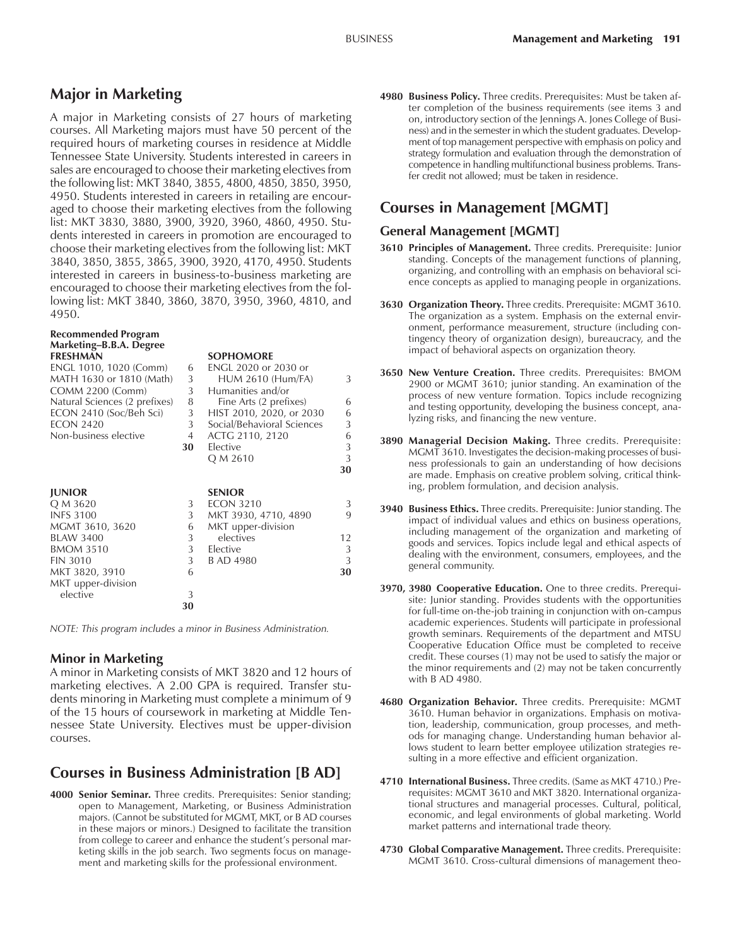# **Major in Marketing**

A major in Marketing consists of 27 hours of marketing courses. All Marketing majors must have 50 percent of the required hours of marketing courses in residence at Middle Tennessee State University. Students interested in careers in sales are encouraged to choose their marketing electives from the following list: MKT 3840, 3855, 4800, 4850, 3850, 3950, 4950. Students interested in careers in retailing are encouraged to choose their marketing electives from the following list: MKT 3830, 3880, 3900, 3920, 3960, 4860, 4950. Students interested in careers in promotion are encouraged to choose their marketing electives from the following list: MKT 3840, 3850, 3855, 3865, 3900, 3920, 4170, 4950. Students interested in careers in business-to-business marketing are encouraged to choose their marketing electives from the following list: MKT 3840, 3860, 3870, 3950, 3960, 4810, and 4950.

|    | <b>SOPHOMORE</b>           |                                                                                                                                 |
|----|----------------------------|---------------------------------------------------------------------------------------------------------------------------------|
| 6  | ENGL 2020 or 2030 or       |                                                                                                                                 |
| 3  | <b>HUM 2610 (Hum/FA)</b>   | 3                                                                                                                               |
| 3  | Humanities and/or          |                                                                                                                                 |
| 8  |                            | 6                                                                                                                               |
| 3  |                            | 6                                                                                                                               |
| 3  | Social/Behavioral Sciences | 3                                                                                                                               |
| 4  |                            | 6                                                                                                                               |
| 30 | Elective                   | 3                                                                                                                               |
|    |                            | 3                                                                                                                               |
|    |                            | 30                                                                                                                              |
|    |                            |                                                                                                                                 |
|    | <b>SENIOR</b>              |                                                                                                                                 |
| 3  | <b>ECON 3210</b>           | 3                                                                                                                               |
| 3  |                            | 9                                                                                                                               |
| 6  |                            |                                                                                                                                 |
| 3  | electives                  | 12                                                                                                                              |
|    | Elective                   | 3                                                                                                                               |
|    | <b>B AD 4980</b>           | 3                                                                                                                               |
| 6  |                            | 30                                                                                                                              |
|    |                            |                                                                                                                                 |
| 3  |                            |                                                                                                                                 |
| 30 |                            |                                                                                                                                 |
|    | 3<br>3                     | Fine Arts (2 prefixes)<br>HIST 2010, 2020, or 2030<br>ACTG 2110, 2120<br>Q M 2610<br>MKT 3930, 4710, 4890<br>MKT upper-division |

*NOTE: This program includes a minor in Business Administration.*

#### **Minor in Marketing**

A minor in Marketing consists of MKT 3820 and 12 hours of marketing electives. A 2.00 GPA is required. Transfer students minoring in Marketing must complete a minimum of 9 of the 15 hours of coursework in marketing at Middle Tennessee State University. Electives must be upper-division courses.

# **Courses in Business Administration [B AD]**

**4000 Senior Seminar.** Three credits. Prerequisites: Senior standing; open to Management, Marketing, or Business Administration majors. (Cannot be substituted for MGMT, MKT, or B AD courses in these majors or minors.) Designed to facilitate the transition from college to career and enhance the student's personal marketing skills in the job search. Two segments focus on management and marketing skills for the professional environment.

**4980 Business Policy.** Three credits. Prerequisites: Must be taken after completion of the business requirements (see items 3 and on, introductory section of the Jennings A. Jones College of Business) and in the semester in which the student graduates. Development of top management perspective with emphasis on policy and strategy formulation and evaluation through the demonstration of competence in handling multifunctional business problems. Transfer credit not allowed; must be taken in residence.

# **Courses in Management [MGMT]**

#### **General Management [MGMT]**

- **3610 Principles of Management.** Three credits. Prerequisite: Junior standing. Concepts of the management functions of planning, organizing, and controlling with an emphasis on behavioral science concepts as applied to managing people in organizations.
- **3630 Organization Theory.** Three credits. Prerequisite: MGMT 3610. The organization as a system. Emphasis on the external environment, performance measurement, structure (including contingency theory of organization design), bureaucracy, and the impact of behavioral aspects on organization theory.
- **3650 New Venture Creation.** Three credits. Prerequisites: BMOM 2900 or MGMT 3610; junior standing. An examination of the process of new venture formation. Topics include recognizing and testing opportunity, developing the business concept, analyzing risks, and financing the new venture.
- **3890 Managerial Decision Making.** Three credits. Prerequisite: MGMT 3610. Investigates the decision-making processes of business professionals to gain an understanding of how decisions are made. Emphasis on creative problem solving, critical thinking, problem formulation, and decision analysis.
- **3940 Business Ethics.** Three credits. Prerequisite: Junior standing. The impact of individual values and ethics on business operations, including management of the organization and marketing of goods and services. Topics include legal and ethical aspects of dealing with the environment, consumers, employees, and the general community.
- **3970, 3980 Cooperative Education.** One to three credits. Prerequisite: Junior standing. Provides students with the opportunities for full-time on-the-job training in conjunction with on-campus academic experiences. Students will participate in professional growth seminars. Requirements of the department and MTSU Cooperative Education Office must be completed to receive credit. These courses (1) may not be used to satisfy the major or the minor requirements and (2) may not be taken concurrently with B AD 4980.
- **4680 Organization Behavior.** Three credits. Prerequisite: MGMT 3610. Human behavior in organizations. Emphasis on motivation, leadership, communication, group processes, and methods for managing change. Understanding human behavior allows student to learn better employee utilization strategies resulting in a more effective and efficient organization.
- **4710 International Business.** Three credits. (Same as MKT 4710.) Prerequisites: MGMT 3610 and MKT 3820. International organizational structures and managerial processes. Cultural, political, economic, and legal environments of global marketing. World market patterns and international trade theory.
- **4730 Global Comparative Management.** Three credits. Prerequisite: MGMT 3610. Cross-cultural dimensions of management theo-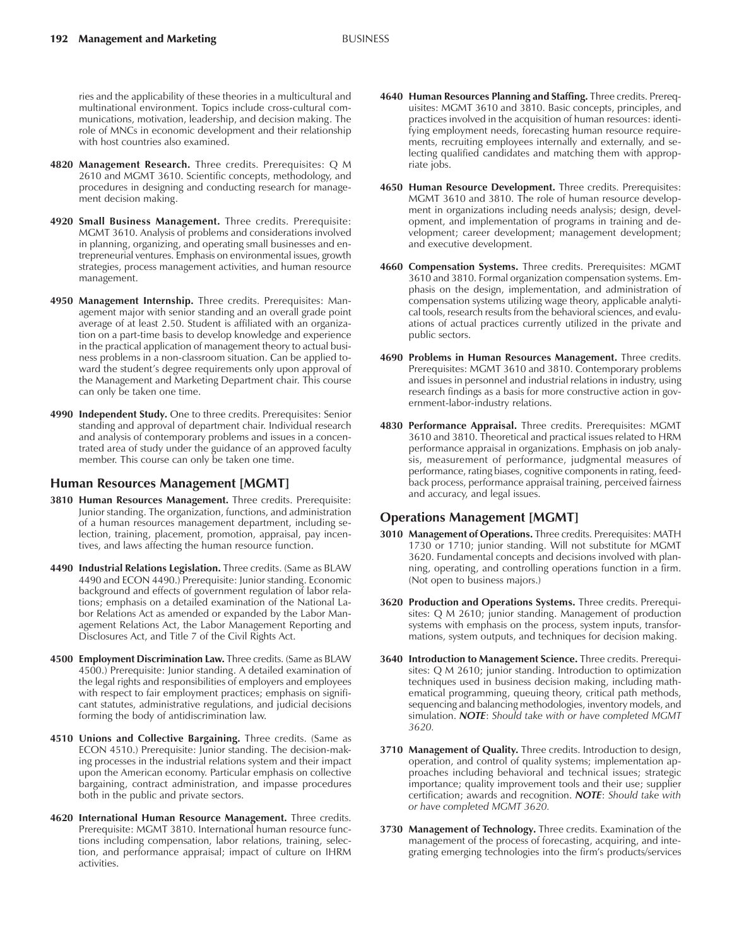- **4820 Management Research.** Three credits. Prerequisites: Q M 2610 and MGMT 3610. Scientific concepts, methodology, and procedures in designing and conducting research for management decision making.
- **4920 Small Business Management.** Three credits. Prerequisite: MGMT 3610. Analysis of problems and considerations involved in planning, organizing, and operating small businesses and entrepreneurial ventures. Emphasis on environmental issues, growth strategies, process management activities, and human resource management.
- **4950 Management Internship.** Three credits. Prerequisites: Management major with senior standing and an overall grade point average of at least 2.50. Student is affiliated with an organization on a part-time basis to develop knowledge and experience in the practical application of management theory to actual business problems in a non-classroom situation. Can be applied toward the student's degree requirements only upon approval of the Management and Marketing Department chair. This course can only be taken one time.
- **4990 Independent Study.** One to three credits. Prerequisites: Senior standing and approval of department chair. Individual research and analysis of contemporary problems and issues in a concentrated area of study under the guidance of an approved faculty member. This course can only be taken one time.

#### **Human Resources Management [MGMT]**

- **3810 Human Resources Management.** Three credits. Prerequisite: Junior standing. The organization, functions, and administration of a human resources management department, including selection, training, placement, promotion, appraisal, pay incentives, and laws affecting the human resource function.
- **4490 Industrial Relations Legislation.** Three credits. (Same as BLAW 4490 and ECON 4490.) Prerequisite: Junior standing. Economic background and effects of government regulation of labor relations; emphasis on a detailed examination of the National Labor Relations Act as amended or expanded by the Labor Management Relations Act, the Labor Management Reporting and Disclosures Act, and Title 7 of the Civil Rights Act.
- **4500 Employment Discrimination Law.** Three credits. (Same as BLAW 4500.) Prerequisite: Junior standing. A detailed examination of the legal rights and responsibilities of employers and employees with respect to fair employment practices; emphasis on significant statutes, administrative regulations, and judicial decisions forming the body of antidiscrimination law.
- **4510 Unions and Collective Bargaining.** Three credits. (Same as ECON 4510.) Prerequisite: Junior standing. The decision-making processes in the industrial relations system and their impact upon the American economy. Particular emphasis on collective bargaining, contract administration, and impasse procedures both in the public and private sectors.
- **4620 International Human Resource Management.** Three credits. Prerequisite: MGMT 3810. International human resource functions including compensation, labor relations, training, selection, and performance appraisal; impact of culture on IHRM activities.
- **4640 Human Resources Planning and Staffing.** Three credits. Prerequisites: MGMT 3610 and 3810. Basic concepts, principles, and practices involved in the acquisition of human resources: identifying employment needs, forecasting human resource requirements, recruiting employees internally and externally, and selecting qualified candidates and matching them with appropriate jobs.
- **4650 Human Resource Development.** Three credits. Prerequisites: MGMT 3610 and 3810. The role of human resource development in organizations including needs analysis; design, development, and implementation of programs in training and development; career development; management development; and executive development.
- **4660 Compensation Systems.** Three credits. Prerequisites: MGMT 3610 and 3810. Formal organization compensation systems. Emphasis on the design, implementation, and administration of compensation systems utilizing wage theory, applicable analytical tools, research results from the behavioral sciences, and evaluations of actual practices currently utilized in the private and public sectors.
- **4690 Problems in Human Resources Management.** Three credits. Prerequisites: MGMT 3610 and 3810. Contemporary problems and issues in personnel and industrial relations in industry, using research findings as a basis for more constructive action in government-labor-industry relations.
- **4830 Performance Appraisal.** Three credits. Prerequisites: MGMT 3610 and 3810. Theoretical and practical issues related to HRM performance appraisal in organizations. Emphasis on job analysis, measurement of performance, judgmental measures of performance, rating biases, cognitive components in rating, feedback process, performance appraisal training, perceived fairness and accuracy, and legal issues.

#### **Operations Management [MGMT]**

- **3010 Management of Operations.** Three credits. Prerequisites: MATH 1730 or 1710; junior standing. Will not substitute for MGMT 3620. Fundamental concepts and decisions involved with planning, operating, and controlling operations function in a firm. (Not open to business majors.)
- **3620 Production and Operations Systems.** Three credits. Prerequisites: Q M 2610; junior standing. Management of production systems with emphasis on the process, system inputs, transformations, system outputs, and techniques for decision making.
- **3640 Introduction to Management Science.** Three credits. Prerequisites: Q M 2610; junior standing. Introduction to optimization techniques used in business decision making, including mathematical programming, queuing theory, critical path methods, sequencing and balancing methodologies, inventory models, and simulation. *NOTE*: *Should take with or have completed MGMT 3620.*
- **3710 Management of Quality.** Three credits. Introduction to design, operation, and control of quality systems; implementation approaches including behavioral and technical issues; strategic importance; quality improvement tools and their use; supplier certification; awards and recognition. *NOTE*: *Should take with or have completed MGMT 3620.*
- **3730 Management of Technology.** Three credits. Examination of the management of the process of forecasting, acquiring, and integrating emerging technologies into the firmís products/services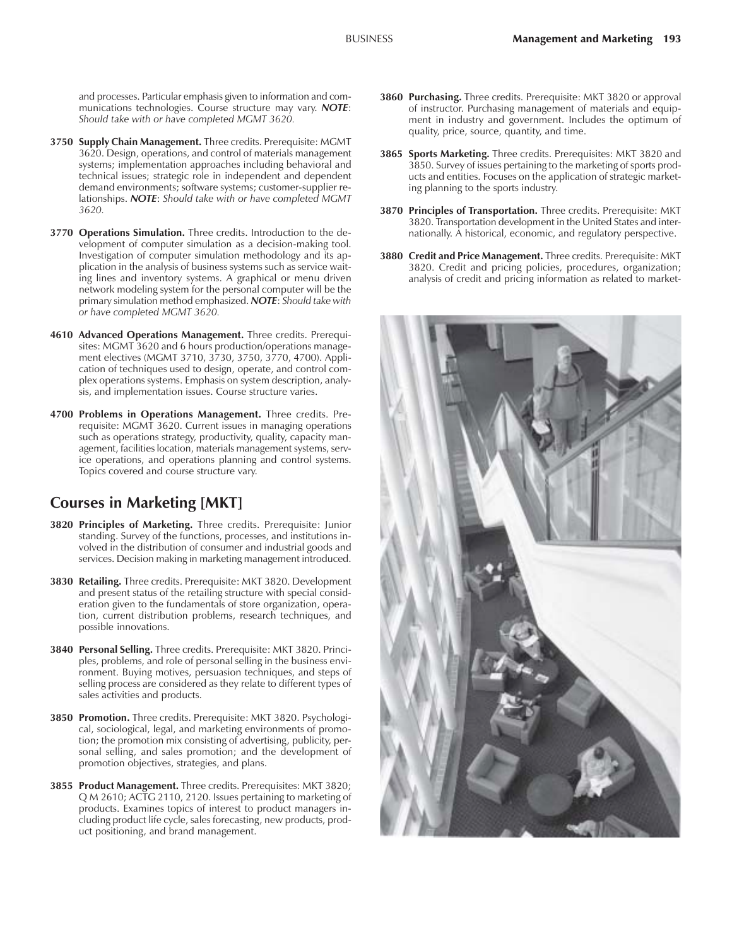and processes. Particular emphasis given to information and communications technologies. Course structure may vary. *NOTE*: *Should take with or have completed MGMT 3620.*

- **3750 Supply Chain Management.** Three credits. Prerequisite: MGMT 3620. Design, operations, and control of materials management systems; implementation approaches including behavioral and technical issues; strategic role in independent and dependent demand environments; software systems; customer-supplier relationships. *NOTE*: *Should take with or have completed MGMT 3620.*
- **3770 Operations Simulation.** Three credits. Introduction to the development of computer simulation as a decision-making tool. Investigation of computer simulation methodology and its application in the analysis of business systems such as service waiting lines and inventory systems. A graphical or menu driven network modeling system for the personal computer will be the primary simulation method emphasized. *NOTE*: *Should take with or have completed MGMT 3620.*
- **4610 Advanced Operations Management.** Three credits. Prerequisites: MGMT 3620 and 6 hours production/operations management electives (MGMT 3710, 3730, 3750, 3770, 4700). Application of techniques used to design, operate, and control complex operations systems. Emphasis on system description, analysis, and implementation issues. Course structure varies.
- **4700 Problems in Operations Management.** Three credits. Prerequisite: MGMT 3620. Current issues in managing operations such as operations strategy, productivity, quality, capacity management, facilities location, materials management systems, service operations, and operations planning and control systems. Topics covered and course structure vary.

## **Courses in Marketing [MKT]**

- **3820 Principles of Marketing.** Three credits. Prerequisite: Junior standing. Survey of the functions, processes, and institutions involved in the distribution of consumer and industrial goods and services. Decision making in marketing management introduced.
- **3830 Retailing.** Three credits. Prerequisite: MKT 3820. Development and present status of the retailing structure with special consideration given to the fundamentals of store organization, operation, current distribution problems, research techniques, and possible innovations.
- **3840 Personal Selling.** Three credits. Prerequisite: MKT 3820. Principles, problems, and role of personal selling in the business environment. Buying motives, persuasion techniques, and steps of selling process are considered as they relate to different types of sales activities and products.
- **3850 Promotion.** Three credits. Prerequisite: MKT 3820. Psychological, sociological, legal, and marketing environments of promotion; the promotion mix consisting of advertising, publicity, personal selling, and sales promotion; and the development of promotion objectives, strategies, and plans.
- **3855 Product Management.** Three credits. Prerequisites: MKT 3820; Q M 2610; ACTG 2110, 2120. Issues pertaining to marketing of products. Examines topics of interest to product managers including product life cycle, sales forecasting, new products, product positioning, and brand management.
- **3860 Purchasing.** Three credits. Prerequisite: MKT 3820 or approval of instructor. Purchasing management of materials and equipment in industry and government. Includes the optimum of quality, price, source, quantity, and time.
- **3865 Sports Marketing.** Three credits. Prerequisites: MKT 3820 and 3850. Survey of issues pertaining to the marketing of sports products and entities. Focuses on the application of strategic marketing planning to the sports industry.
- **3870 Principles of Transportation.** Three credits. Prerequisite: MKT 3820. Transportation development in the United States and internationally. A historical, economic, and regulatory perspective.
- **3880 Credit and Price Management.** Three credits. Prerequisite: MKT 3820. Credit and pricing policies, procedures, organization; analysis of credit and pricing information as related to market-